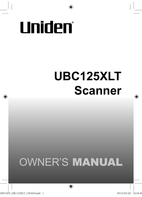

# **Uniden**\*

## **UBC125XLT Scanner**

## OWNER'S MANUAL

⊕

◈

◈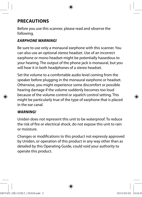## **PRECAUTIONS**

Before you use this scanner, please read and observe the following.

#### *EARPHONE WARNING!*

Be sure to use only a monaural earphone with this scanner. You can also use an optional stereo headset. Use of an incorrect earphone or mono headset might be potentially hazardous to your hearing. The output of the phone jack is monaural, but you will hear it in both headphones of a stereo headset.

Set the volume to a comfortable audio level coming from the speaker before plugging in the monaural earphone or headset. Otherwise, you might experience some discomfort or possible hearing damage if the volume suddenly becomes too loud because of the volume control or squelch control setting. This might be particularly true of the type of earphone that is placed in the ear canal.

#### *WARNING!*

Uniden does not represent this unit to be waterproof. To reduce the risk of fire or electrical shock, do not expose this unit to rain or moisture.

Changes or modifications to this product not expressly approved by Uniden, or operation of this product in any way other than as detailed by this Operating Guide, could void your authority to operate this product.

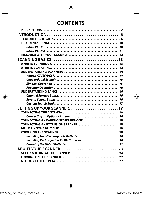

## **CONTENTS**

| SETTING UP YOUR SCANNER17                   |  |
|---------------------------------------------|--|
|                                             |  |
|                                             |  |
| CONNECTING AN EARPHONE/HEADPHONE  18        |  |
| CONNECTING AN EXTENSION SPEAKER 18          |  |
|                                             |  |
|                                             |  |
| Installing Non-Rechargeable Batteries  20   |  |
| Installing Rechargeable Ni-MH Batteries  20 |  |
|                                             |  |
| ABOUT YOUR SCANNER 23                       |  |
|                                             |  |
|                                             |  |
|                                             |  |

 $\bigoplus$ 

⊕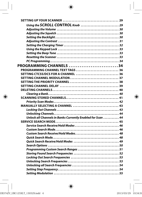| Using the SCROLL CONTROL Knob  29                           |  |
|-------------------------------------------------------------|--|
|                                                             |  |
|                                                             |  |
|                                                             |  |
|                                                             |  |
|                                                             |  |
|                                                             |  |
|                                                             |  |
|                                                             |  |
|                                                             |  |
| PROGRAMMING CHANNELS 34                                     |  |
| PROGRAMMING CHANNEL TEXT TAGS  36                           |  |
| SETTING CTCSS/DCS FOR A CHANNEL  36                         |  |
|                                                             |  |
|                                                             |  |
|                                                             |  |
|                                                             |  |
|                                                             |  |
|                                                             |  |
|                                                             |  |
| MANUALLY SELECTING A CHANNEL  43                            |  |
|                                                             |  |
|                                                             |  |
| Unlock all Channels in Banks Currently Enabled for Scan  44 |  |
|                                                             |  |
| Service Search Receive/Hold Modes  46                       |  |
|                                                             |  |
|                                                             |  |
|                                                             |  |
| Quick Search Receive/Hold Modes  49                         |  |
|                                                             |  |
| Programming Custom Search Ranges  51                        |  |
| Storing Found Search Frequencies  52                        |  |
|                                                             |  |
|                                                             |  |
|                                                             |  |
|                                                             |  |
|                                                             |  |

 $\bigoplus$ 

⊕

 $\bigoplus$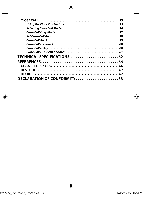

 $\bigoplus$ 

 $\overline{\phantom{a}}$  $\overline{\phantom{a}}$ 

 $\bigoplus$ 



 $\bigoplus$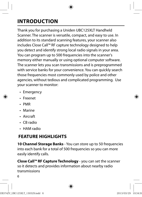## **INTRODUCTION**

Thank you for purchasing a Uniden UBC125XLT Handheld Scanner. The scanner is versatile, compact, and easy to use. In addition to its standard scanning features, your scanner also includes Close Call™ RF capture technology designed to help you detect and identify strong local radio signals in your area. You can program up to 500 frequencies into the scanner's memory either manually or using optional computer software. The scanner lets you scan transmissions and is preprogrammed with service banks for your convenience. You can quickly search those frequencies most commonly used by police and other agencies, without tedious and complicated programming. Use your scanner to monitor:

- Emergency
- Freenet
- PMR
- Marine
- Aircraft
- CB radio
- HAM radio

## **FEATURE HIGHLIGHTS**

**10 Channel Storage Banks** - You can store up to 50 frequencies into each bank for a total of 500 frequencies so you can more easily identify calls.

**Close Call™ RF Capture Technology** - you can set the scanner so it detects and provides information about nearby radio transmissions

⊕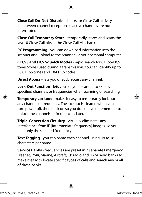**Close Call Do-Not-Disturb** - checks for Close Call activity in between channel reception so active channels are not interrupted.

**Close Call Temporary Store** - temporarily stores and scans the last 10 Close Call hits in the Close Call Hits bank.

**PC Programming** - you can download information into the scanner and upload to the scanner via your personal computer.

**CTCSS and DCS Squelch Modes** - rapid search for CTCSS/DCS tones/codes used during a transmission. You can identify up to 50 CTCSS tones and 104 DCS codes.

**Direct Access** - lets you directly access any channel.

**Lock-Out Function** - lets you set your scanner to skip over specified channels or frequencies when scanning or searching.

**Temporary Lockout** - makes it easy to temporarily lock out any channel or frequency. The lockout is cleared when you turn power off, then back on so you don't have to remember to unlock the channels or frequencies later.

**Triple-Conversion Circuitry** - virtually eliminates any interference from IF (intermediate frequency) images, so you hear only the selected frequency.

**Text Tagging** - you can name each channel, using up to 16 characters per name.

**Service Banks** - frequencies are preset in 7 separate Emergency, Freenet, PMR, Marine, Aircraft, CB radio and HAM radio banks to make it easy to locate specific types of calls and search any or all of these banks.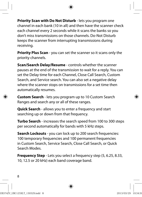**Priority Scan with Do Not Disturb** - lets you program one channel in each bank (10 in all) and then have the scanner check each channel every 2 seconds while it scans the banks so you don't miss transmissions on those channels. Do-Not Disturb keeps the scanner from interrupting transmissions during receiving.

**Priority Plus Scan** - you can set the scanner so it scans only the priority channels.

**Scan/Search Delay/Resume** - controls whether the scanner pauses at the end of the transmission to wait for a reply. You can set the Delay time for each Channel, Close Call Search, Custom Search, and Service search. You can also set a negative delay where the scanner stops on transmissions for a set time then automatically resumes.

**Custom Search** - lets you program up to 10 Custom Search Ranges and search any or all of these ranges.

**Quick Search** - allows you to enter a frequency and start searching up or down from that frequency.

**Turbo Search** - increases the search speed from 100 to 300 steps per second automatically for bands with 5 kHz steps.

**Search Lockouts** - you can lock up to 200 search frequencies: 100 temporary frequencies and 100 permanent frequencies in Custom Search, Service Search, Close Call Search, or Quick Search Modes.

**Frequency Step** - Lets you select a frequency step (5, 6.25, 8.33, 10, 12.5 or 20 kHz) each band coverage band.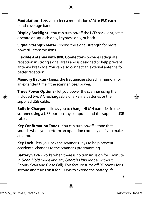**Modulation** - Lets you select a modulation (AM or FM) each band coverage band.

**Display Backlight** - You can turn on/off the LCD backlight, set it operate on squelch only, keypress only, or both.

**Signal Strength Meter** - shows the signal strength for more powerful transmissions.

**Flexible Antenna with BNC Connector** - provides adequate reception in strong signal areas and is designed to help prevent antenna breakage. You can also connect an external antenna for better reception.

**Memory Backup** - keeps the frequencies stored in memory for an extended time if the scanner loses power.

**Three Power Options** - let you power the scanner using the included two AA rechargeable or alkaline batteries or the supplied USB cable.

**Built-In Charger** - allows you to charge Ni-MH batteries in the scanner using a USB port on any computer and the supplied USB cable.

**Key Confirmation Tones** - You can turn on/off a tone that sounds when you perform an operation correctly or if you make an error.

**Key Lock** - lets you lock the scanner's keys to help prevent accidental changes to the scanner's programming.

**Battery Save** - works when there is no transmission for 1 minute in *Scan Hold* mode and any *Search Hold* mode (without Priority Scan and Close Call). This feature turns off RF power for 1 second and turns on it for 300ms to extend the battery life.

⊕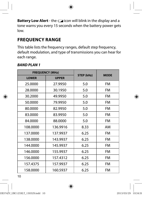**Battery Low Alert** - the **ight** icon will blink in the display and a tone warns you every 15 seconds when the battery power gets low.

## **FREQUENCY RANGE**

This table lists the frequency ranges, default step frequency, default modulation, and type of transmissions you can hear for each range.

#### *BAND PLAN 1*

| <b>FREQUENCY (MHz)</b> |              |            | <b>MODE</b> |
|------------------------|--------------|------------|-------------|
| <b>LOWER</b>           | <b>UPPER</b> | STEP (kHz) |             |
| 25.0000                | 27.9950      | 5.0        | FM          |
| 28,0000                | 30.1950      | 5.0        | FM          |
| 30.2000                | 49.9950      | 5.0        | FM          |
| 50.0000                | 79.9950      | 5.0        | FM          |
| 80.0000                | 82.9950      | 5.0        | FM          |
| 83.0000                | 83.9950      | 5.0        | FM          |
| 84.0000                | 88,0000      | 5.0        | FM          |
| 108.0000               | 136.9916     | 8.33       | AM          |
| 137.0000               | 137.9937     | 6.25       | FM          |
| 138.0000               | 143.9937     | 6.25       | FM          |
| 144.0000               | 145.9937     | 6.25       | FM          |
| 146.0000               | 155.9937     | 6.25       | FM          |
| 156.0000               | 157.4312     | 6.25       | FM          |
| 157.4375               | 157.9937     | 6.25       | FM          |
| 158.0000               | 160.5937     | 6.25       | FM          |

⊕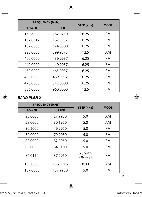|              | <b>FREQUENCY (MHz)</b> |            | <b>MODE</b> |  |
|--------------|------------------------|------------|-------------|--|
| <b>LOWER</b> | <b>UPPER</b>           | STEP (kHz) |             |  |
| 160.6000     | 162.0250               | 6.25       | FM          |  |
| 162.0312     | 162.5937               | 6.25       | FM          |  |
| 162.6000     | 174,0000               | 6.25       | FM          |  |
| 225.0000     | 399.9875               | 12.5       | AM          |  |
| 400.0000     | 439.9937               | 6.25       | FM          |  |
| 440.0000     | 449.9937               | 6.25       | FM          |  |
| 450.0000     | 465.9937               | 6.25       | FM          |  |
| 466.0000     | 469.9937               | 6.25       | FM          |  |
| 470.0000     | 512.0000               | 6.25       | FM          |  |
| 806.0000     | 960.0000               | 12.5       | FM          |  |

 $\bigoplus$ 

## *BAND PLAN 2*

 $\bigoplus$ 

|              | <b>FREQUENCY (MHz)</b>          |            | <b>MODE</b> |  |
|--------------|---------------------------------|------------|-------------|--|
| <b>LOWER</b> | <b>UPPER</b>                    | STEP (kHz) |             |  |
| 25.0000      | 27.9950                         | 5.0        | AM          |  |
| 28,0000      | 30.1950                         | 5.0        | AM          |  |
| 30.2000      | 49.9950                         | 5.0        | FM          |  |
| 50.0000      | 79.9950                         | 5.0        | FM          |  |
| 80.0000      | 82.9950                         | 5.0        | FM          |  |
| 83.0000      | 84.0100                         | 5.0        | FM          |  |
| 84.0150      | 20 with<br>87.2950<br>offset 15 |            | FM          |  |
| 108.0000     | 136.9916                        | 8.33       | AM          |  |
| 137.0000     | 137.9950                        | 5.0        | FM          |  |

 $\bigoplus$ 

11

 $\Leftrightarrow$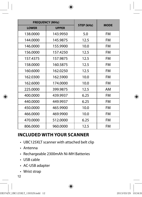| <b>FREQUENCY (MHz)</b> |              |            |             |
|------------------------|--------------|------------|-------------|
| <b>LOWER</b>           | <b>UPPER</b> | STEP (kHz) | <b>MODE</b> |
| 138,0000               | 143.9950     | 5.0        | FM          |
| 144,0000               | 145.9875     | 12.5       | FM          |
| 146.0000               | 155.9900     | 10.0       | FM          |
| 156.0000               | 157.4250     | 12.5       | FM          |
| 157.4375               | 157.9875     | 12.5       | FM          |
| 158.0000               | 160.5875     | 12.5       | FM          |
| 160.6000               | 162.0250     | 12.5       | FM          |
| 162.0300               | 162.5900     | 10.0       | FM          |
| 162.6000               | 174.0000     | 10.0       | FM          |
| 225.0000               | 399.9875     | 12.5       | AM          |
| 400.0000               | 439.9937     | 6.25       | FM          |
| 440.0000               | 449.9937     | 6.25       | FM          |
| 450.0000               | 465.9900     | 10.0       | FM          |
| 466.0000               | 469.9900     | 10.0       | FM          |
| 470.0000               | 512.0000     | 6.25       | FM          |
| 806.0000               | 960.0000     | 12.5       | FM          |

## **INCLUDED WITH YOUR SCANNER**

- UBC125XLT scanner with attached belt clip
- Antenna
- Rechargeable 2300mAh Ni-MH Batteries

⊕

- USB cable
- AC-USB adapter
- Wrist strap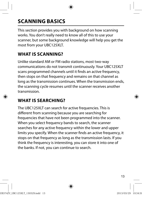This section provides you with background on how scanning works. You don't really need to know all of this to use your scanner, but some background knowledge will help you get the most from your UBC125XLT.

## **WHAT IS SCANNING?**

Unlike standard AM or FM radio stations, most two-way communications do not transmit continuously. Your UBC125XLT scans programmed channels until it finds an active frequency, then stops on that frequency and remains on that channel as long as the transmission continues. When the transmission ends, the scanning cycle resumes until the scanner receives another transmission.

## **WHAT IS SEARCHING?**

The UBC125XLT can search for active frequencies. This is different from scanning because you are searching for frequencies that have not been programmed into the scanner. When you select frequency bands to search, the scanner searches for any active frequency within the lower and upper limits you specify. When the scanner finds an active frequency, it stops on that frequency as long as the transmission lasts. If you think the frequency is interesting, you can store it into one of the banks. If not, you can continue to search.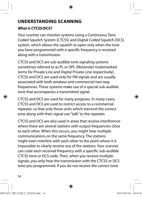## **UNDERSTANDING SCANNING**

#### *What is CTCSS/DCS?*

Your scanner can monitor systems using a Continuous Tone Coded Squelch System (CTCSS) and Digital Coded Squelch (DCS) system, which allows the squelch to open only when the tone you have programmed with a specific frequency is received along with a transmission.

CTCSS and DCS are sub-audible tone signaling systems sometimes referred to as PL or DPL (Motorola's trademarked terms for Private Line and Digital Private Line respectively). CTCSS and DCS are used only for FM signals and are usually associated with both amateur and commercial two-way frequencies. These systems make use of a special sub-audible tone that accompanies a transmitted signal.

CTCSS and DCS are used for many purposes. In many cases, CTCSS and DCS are used to restrict access to a commercial repeater, so that only those units which transmit the correct tone along with their signal can "talk" to the repeater.

CTCSS and DCS are also used in areas that receive interference where there are several stations with output frequencies close to each other. When this occurs, you might hear multiple communications on the same frequency. The stations might even interfere with each other to the point where it is impossible to clearly receive any of the stations. Your scanner can code each received frequency with a specific sub-audible CTCSS tone or DCS code. Then, when you receive multiple signals, you only hear the transmission with the CTCSS or DCS tone you programmed. If you do not receive the correct tone

⊕

14

₩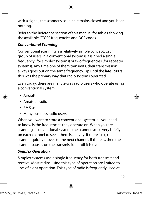with a signal, the scanner's squelch remains closed and you hear nothing.

Refer to the Reference section of this manual for tables showing the available CTCSS frequencies and DCS codes.

#### *Conventional Scanning*

Conventional scanning is a relatively simple concept. Each group of users in a conventional system is assigned a single frequency (for simplex systems) or two frequencies (for repeater systems). Any time one of them transmits, their transmission always goes out on the same frequency. Up until the late 1980's this was the primary way that radio systems operated.

Even today, there are many 2-way radio users who operate using a conventional system:

• Aircraft



- PMR users
- Many business radio users

When you want to store a conventional system, all you need to know is the frequencies they operate on. When you are scanning a conventional system, the scanner stops very briefly on each channel to see if there is activity. If there isn't, the scanner quickly moves to the next channel. If there is, then the scanner pauses on the transmission until it is over.

#### *Simplex Operation*

Simplex systems use a single frequency for both transmit and receive. Most radios using this type of operation are limited to line-of-sight operation. This type of radio is frequently used at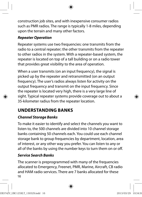construction job sites, and with inexpensive consumer radios such as PMR radios. The range is typically 1-8 miles, depending upon the terrain and many other factors.

#### *Repeater Operation*

Repeater systems use two frequencies: one transmits from the radio to a central repeater; the other transmits from the repeater to other radios in the system. With a repeater-based system, the repeater is located on top of a tall building or on a radio tower that provides great visibility to the area of operation.

When a user transmits (on an input frequency), the signal is picked up by the repeater and retransmitted (on an output frequency). The user's radios always listen for activity on the output frequency and transmit on the input frequency. Since the repeater is located very high, there is a very large line of sight. Typical repeater systems provide coverage out to about a 35-kilometer radius from the repeater location.

## **UNDERSTANDING BANKS**

### *Channel Storage Banks*

To make it easier to identify and select the channels you want to listen to, the 500 channels are divided into 10 channel storage banks containing 50 channels each. You could use each channel storage bank to group frequencies by department, location, area of interest, or any other way you prefer. You can listen to any or all of the banks by using the number keys to turn them on or off.

#### *Service Search Banks*

16 The scanner is preprogrammed with many of the frequencies allocated to Emergency, Freenet, PMR, Marine, Aircraft, CB radio and HAM radio services. There are 7 banks allocated for these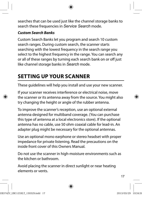searches that can be used just like the channel storage banks to search these frequencies in *Service Search* mode.

#### *Custom Search Banks*

Custom Search Banks let you program and search 10 custom search ranges. During custom search, the scanner starts searching with the lowest frequency in the search range you select to the highest frequency in the range. You can search any or all of these ranges by turning each search bank on or off just like channel storage banks in *Search* mode.

## **SETTING UP YOUR SCANNER**

These guidelines will help you install and use your new scanner.

If your scanner receives interference or electrical noise, move the scanner or its antenna away from the source. You might also try changing the height or angle of the rubber antenna.

To improve the scanner's reception, use an optional external antenna designed for multiband coverage. (You can purchase this type of antenna at a local electronics store). If the optional antenna has no cable, use 50 ohm coaxial cable for lead-in. An adapter plug might be necessary for the optional antennas.

Use an optional mono earphone or stereo headset with proper impedance for private listening. Read the precautions on the inside front cover of this Owners Manual.

Do not use the scanner in high-moisture environments such as the kitchen or bathroom.

⊕

Avoid placing the scanner in direct sunlight or near heating elements or vents.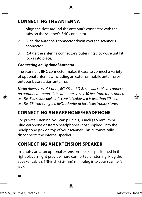

## **CONNECTING THE ANTENNA**

- 1. Align the slots around the antenna's connector with the tabs on the scanner's BNC connector.
- 2. Slide the antenna's connector down over the scanner's connector.
- 3. Rotate the antenna connector's outer ring clockwise until it locks into place.

#### *Connecting an Optional Antenna*

The scanner's BNC connector makes it easy to connect a variety of optional antennas, including an external mobile antenna or outdoor base station antenna.

*Note:* Always use 50-ohm, RG-58, or RG-8, coaxial cable to connect an outdoor antenna. If the antenna is over 50 feet from the scanner, use RG-8 low-loss dielectric coaxial cable. If it is less than 50 feet, use RG-58. You can get a BNC adapter at local electronics stores.

## **CONNECTING AN EARPHONE/HEADPHONE**

For private listening, you can plug a 1/8-inch (3.5 mm) miniplug earphone or stereo headphones (not supplied) into the headphone jack on top of your scanner. This automatically disconnects the internal speaker.

## **CONNECTING AN EXTENSION SPEAKER**

In a noisy area, an optional extension speaker, positioned in the right place, might provide more comfortable listening. Plug the speaker cable's 1/8-inch (3.5-mm) mini-plug into your scanner's jack.

⊕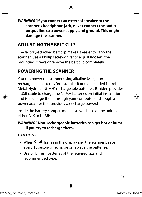## **ADJUSTING THE BELT CLIP**

The factory-attached belt clip makes it easier to carry the scanner. Use a Phillips screwdriver to adjust (loosen) the mounting screws or remove the belt clip completely.

## **POWERING THE SCANNER**

You can power the scanner using alkaline (ALK) nonrechargeable batteries (not supplied) or the included Nickel Metal-Hydride (Ni-MH) rechargeable batteries. [Uniden provides a USB cable to charge the Ni-MH batteries on initial installation and to recharge them through your computer or through a power adapter that provides USB charge power.]

Inside the battery compartment is a switch to set the unit to either ALK or Ni-MH.

### *WARNING!* **Non-rechargeable batteries can get hot or burst if you try to recharge them.**

## *CAUTIONS:*

• When  $\Box$  flashes in the display and the scanner beeps every 15 seconds, recharge or replace the batteries.

⊕

• Use only fresh batteries of the required size and recommended type.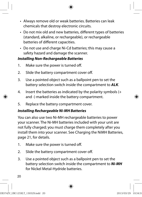- Always remove old or weak batteries. Batteries can leak chemicals that destroy electronic circuits.
- Do not mix old and new batteries, different types of batteries (standard, alkaline, or rechargeable), or rechargeable batteries of different capacities.
- Do not use and charge Ni-Cd batteries; this may cause a safety hazard and damage the scanner.

#### *Installing Non-Rechargeable Batteries*

- 1. Make sure the power is turned off.
- 2. Slide the battery compartment cover off.
- 3. Use a pointed object such as a ballpoint pen to set the battery selection switch inside the compartment to *ALK*.
- 4. Insert the batteries as indicated by the polarity symbols (+ and -) marked inside the battery compartment.
- 5. Replace the battery compartment cover.

#### *Installing Rechargeable Ni-MH Batteries*

You can also use two Ni-MH rechargeable batteries to power your scanner. The Ni-MH batteries included with your unit are not fully charged; you must charge them completely after you install them into your scanner. See Charging the NiMH Batteries, page 21, for details.

- 1. Make sure the power is turned off.
- 2. Slide the battery compartment cover off.
- 3. Use a pointed object such as a ballpoint pen to set the battery selection switch inside the compartment to *Ni-MH* for Nickel Metal-Hydride batteries.

⊕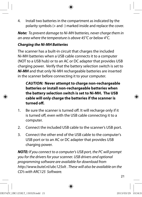4. Install two batteries in the compartment as indicated by the polarity symbols (+ and -) marked inside and replace the cover.

*Note:* To prevent damage to Ni-MH batteries, never charge them in an area where the temperature is above 45°C or below 4°C.

#### *Charging the Ni-MH Batteries*

 The scanner has a built-in circuit that charges the included Ni-MH batteries when a USB cable connects it to a computer (NOT to a USB hub) or to an AC or DC adapter that provides USB charging power. Verify that the battery selection switch is set to *Ni-MH* and that only Ni-MH rechargeable batteries are inserted in the scanner before connecting it to your computer.

*CAUTION:* **Never attempt to charge non-rechargeable batteries or install non-rechargeable batteries when the battery selection switch is set to Ni-MH. The USB cable will only charge the batteries if the scanner is**  turned off.

- 1. Be sure the scanner is turned off. It will recharge only if it is turned off, even with the USB cable connecting it to a computer.
- 2. Connect the included USB cable to the scanner's USB port.
- 3. Connect the other end of the USB cable to the computer's USB port or to an AC or DC adapter that provides USB charging power.

*NOTE:* If you connect to a computer's USB port, the PC will prompt you for the drivers for your scanner. USB drivers and optional programming software are available for download from http://www.butel.nl/ubc125xlt . These will also be available on the CD's with ARC125 Software.

⊕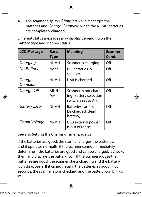4. The scanner displays *Charging* while it charges the batteries and *Charge Complete* when the Ni-MH batteries are completely charged.

Different status messages may display depending on the battery type and scanner status:

| <b>LCD Message</b>   | Batt.<br>Type  | <b>Meaning</b>                                                            | <b>Scanner</b><br>Cond. |
|----------------------|----------------|---------------------------------------------------------------------------|-------------------------|
| Charging             | Ni-MH          | Scanner is charging.                                                      | Off                     |
| No Battery           | None           | NO batteries in<br>scanner.                                               | Off                     |
| Charge<br>Complete   | Ni-MH          | Unit is charged.                                                          | Off                     |
| Charge Off           | Alk./Ni-<br>MН | Scanner is not charg-<br>ing (Battery selection<br>switch is set to Alk.) | Off                     |
| <b>Battery Error</b> | Ni-MH          | Batteries cannot<br>be charged (dead<br>battery).                         | Off                     |
| Illegal Voltage      | Ni-MH          | USB external power<br>is out of range.                                    | Off                     |

See also Setting the Charging Timer, page 32.

22 If the batteries are good, the scanner charges the batteries. and it operates normally. If the scanner cannot immediately determine if the batteries are good and can be charged, it checks them and displays the battery icon. If the scanner judges the batteries are good, the scanner starts charging and the battery icon disappears. If it cannot regard the batteries as good in 60 seconds, the scanner stops checking and the battery icon blinks.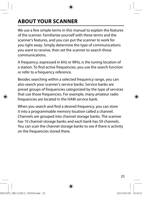## **ABOUT YOUR SCANNER**

We use a few simple terms in this manual to explain the features of the scanner. Familiarize yourself with these terms and the scanner's features, and you can put the scanner to work for you right away. Simply determine the type of communications you want to receive, then set the scanner to search those communications.

A frequency, expressed in kHz or MHz, is the tuning location of a station. To find active frequencies, you use the search function or refer to a frequency reference.

Besides searching within a selected frequency range, you can also search your scanner's service banks. Service banks are preset groups of frequencies categorized by the type of services that use those frequencies. For example, many amateur radio frequencies are located in the HAM service bank.

When you search and find a desired frequency, you can store it into a programmable memory location called a channel. Channels are grouped into channel storage banks. The scanner has 10 channel storage banks and each bank has 50 channels. You can scan the channel storage banks to see if there is activity on the frequencies stored there.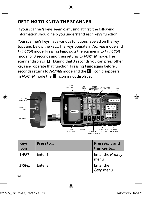## **GETTING TO KNOW THE SCANNER**

If your scanner's keys seem confusing at first, the following information should help you understand each key's function.

Your scanner's keys have various functions labeled on the key tops and below the keys. The keys operate in *Normal* mode and *Function* mode. Pressing *Func* puts the scanner into *Function* mode for 3 seconds and then returns to *Normal* mode. The scanner displays **F** . During that 3 seconds you can press other keys and operate that function. Pressing *Func* again before 3 seconds returns to *Normal* mode and the F icon disappears. In *Normal* mode the F icon is not displayed.



| Key/<br>Icon | Press to | <b>Press Func and</b><br>this key to |
|--------------|----------|--------------------------------------|
| 1/PRI        | Enter 1. | Enter the Priority<br>menu.          |
| 3/Step       | Enter 3. | Enter the<br>Step menu.              |

⊕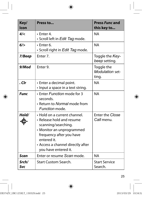| Key/<br>Icon        | Press to                                                                                                                                                                                                              | <b>Press Func and</b><br>this key to   |
|---------------------|-----------------------------------------------------------------------------------------------------------------------------------------------------------------------------------------------------------------------|----------------------------------------|
| $4$ / $<$           | $\cdot$ Fnter 4.<br>· Scroll left in Edit Tag mode.                                                                                                                                                                   | <b>NA</b>                              |
| 6/                  | · Enter 6.<br>· Scroll right in Edit Tag mode.                                                                                                                                                                        | <b>NA</b>                              |
| 7/Beep              | Fnter 7.                                                                                                                                                                                                              | Toggle the Key-<br>beep setting.       |
| 9/Mod               | Fnter 9.                                                                                                                                                                                                              | Toggle the<br>Modulation set-<br>ting. |
| . Clr               | • Enter a decimal point.<br>• Input a space in a text string.                                                                                                                                                         | <b>NA</b>                              |
| <b>Func</b>         | • Enter <i>Function</i> mode for 3<br>seconds.<br>· Return to Normal mode from<br><i>Function</i> mode.                                                                                                               | <b>NA</b>                              |
| Hold/               | • Hold on a current channel.<br>• Release hold and resume<br>scanning/searching.<br>• Monitor an unprogrammed<br>frequency after you have<br>entered it.<br>• Access a channel directly after<br>you have entered it. | Enter the Close<br>Call menu.          |
| Scan                | Enter or resume Scan mode.                                                                                                                                                                                            | <b>NA</b>                              |
| Srch/<br><b>Svc</b> | <b>Start Custom Search.</b>                                                                                                                                                                                           | <b>Start Service</b><br>Search.        |

 $\bigoplus$ 

 $\bigoplus$ 

 $\bigoplus$ 

25

 $\bigoplus$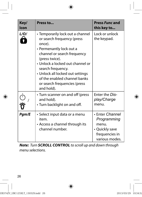| ۰.<br>۰.<br>I<br>٧ |
|--------------------|

| Key/<br>Icon | Press to                                                                                                                                                                                                                                                                                                                         | <b>Press Func and</b><br>this key to                                                          |
|--------------|----------------------------------------------------------------------------------------------------------------------------------------------------------------------------------------------------------------------------------------------------------------------------------------------------------------------------------|-----------------------------------------------------------------------------------------------|
| <b>L/O/</b>  | • Temporarily lock out a channel<br>or search frequency (press<br>once).<br>• Permenantly lock out a<br>channel or search frequency<br>(press twice).<br>• Unlock a locked out channel or<br>search frequency.<br>• Unlock all locked out settings<br>of the enabled channel banks<br>or search frequencies (press<br>and hold). | Lock or unlock<br>the keypad.                                                                 |
|              | • Turn scanner on and off (press<br>and hold).<br>• Turn backlight on and off.                                                                                                                                                                                                                                                   | Enter the Dis-<br>play/Charge<br>menu.                                                        |
| Pgm/E        | • Select input data or a menu<br>item.<br>• Access a channel through its<br>channel number.                                                                                                                                                                                                                                      | • Enter Channel<br>Programming<br>menu.<br>• Quickly save<br>frequencies in<br>various modes. |

*Note:* Turn *SCROLL CONTROL* to scroll up and down through menu selections.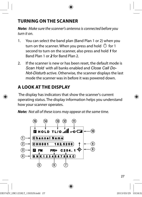## **TURNING ON THE SCANNER**

*Note:* Make sure the scanner's antenna is connected before you turn it on.

- 1. You can select the band plan (Band Plan 1 or 2) when you turn on the scanner. When you press and hold  $\circlearrowright$  for 1 second to turn on the scanner, also press and hold *1* for Band Plan 1 or *2* for Band Plan 2.
- 2. If the scanner is new or has been reset, the default mode is *Scan Hold* with all banks enabled and *Close Call Do-Not-Disturb* active. Otherwise, the scanner displays the last mode the scanner was in before it was powered down.

## **A LOOK AT THE DISPLAY**

 The display has indicators that show the scanner's current operating status. The display information helps you understand how your scanner operates.

*Note:* Not all of these icons may appear at the same time.

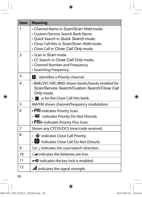| <b>Item</b>    | <b>Meaning</b>                                    |  |
|----------------|---------------------------------------------------|--|
| 1              | • Channel Name in Scan/Scan Hold mode.            |  |
|                | • Custom/Service Search Bank Name.                |  |
|                | · Quick Search in Quick Search mode.              |  |
|                | • Close Call Hits in Scan/Scan Hold mode.         |  |
|                | · Close Call in Close Call Only mode.             |  |
| $\mathfrak{D}$ | • Scan in Scan mode.                              |  |
|                | • CC Search in Close Call Only mode.              |  |
|                | • Channel Number and Frequency.                   |  |
|                | • Searching Frequency.                            |  |
| 3              | identifies a Priority channel.<br><b>P</b>        |  |
| 4              | • BNK/SVC/SRC/BND shows banks/bands enabled for   |  |
|                | Scan/Service Search/Custom Search/Close Call      |  |
|                | Only mode.                                        |  |
|                | $\cdot$ <b>Q</b> is for the Close Call Hits bank. |  |
| 5              | AM/FM shows channel/frequency modulation.         |  |
| 6              | • PRI indicates Priority Scan.                    |  |
|                | • <b>Bil</b> indicates Priority Do-Not-Disturb.   |  |
|                | • PRI+ indicates Priority Plus Scan.              |  |
| 7              | Shows any CTCSS/DCS tone/code received.           |  |
| 8              | <b>C</b> indicates Close Call Priority.           |  |
|                | . $\bullet$ indicates Close Call Do-Not-Disturb.  |  |
| 9              | ↑ tor ↓ indicates the scan/search direction.      |  |
| 10             | indicates the batteries are low.                  |  |
| 11             | <b>TO</b> indicates the key lock is enabled.      |  |
| 12             | indicates the signal strength.                    |  |
| 28             |                                                   |  |

 $\bigoplus$ 

 $\bigoplus$ 

 $\overline{\phantom{a}}$ 

 $\bigoplus$ 

 $\bigoplus$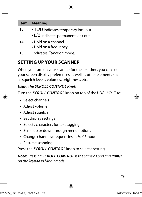| <b>Item</b> | <b>Meaning</b>                       |  |
|-------------|--------------------------------------|--|
| 13          | • TL/O indicates temporary lock out. |  |
|             | • L/O indicates permanent lock out.  |  |
| 14          | • Hold on a channel.                 |  |
|             | • Hold on a frequency.               |  |
| 15          | Indicates <i>Function</i> mode.      |  |

## **SETTING UP YOUR SCANNER**

When you turn on your scanner for the first time, you can set your screen display preferences as well as other elements such as squelch levels, volumes, brightness, etc.

### *Using the SCROLL CONTROL Knob*

Turn the *SCROLL CONTROL* knob on top of the UBC125XLT to:

- Select channels
- Adjust volume
- Adjust squelch
- Set display settings
- Selects characters for text tagging
- Scroll up or down through menu options
- Change channels/frequencies in *Hold* mode
- Resume scanning

Press the *SCROLL CONTROL* knob to select a setting.

*Note:* Pressing *SCROLL CONTROL* is the same as pressing *Pgm/E* on the keypad in *Menu* mode.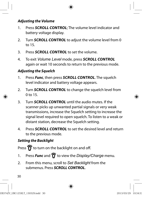#### *Adjusting the Volume*

- 1. Press *SCROLL CONTROL*; The volume level indicator and battery voltage display.
- 2. Turn *SCROLL CONTROL* to adjust the volume level from 0 to 15.
- 3. Press *SCROLL CONTROL* to set the volume.
- 4. To exit *Volume Level* mode, press *SCROLL CONTROL* again or wait 10 seconds to return to the previous mode.

#### *Adjusting the Squelch*

- 1. Press *Func*, then press *SCROLL CONTROL*. The squelch level indicator and battery voltage appears.
- 2. Turn *SCROLL CONTROL* to change the squelch level from 0 to 15.
- 3. Turn *SCROLL CONTROL* until the audio mutes. If the scanner picks up unwanted partial signals or very weak transmissions, increase the Squelch setting to increase the signal level required to open squelch. To listen to a weak or distant station, decrease the Squelch setting.
- 4. Press *SCROLL CONTROL* to set the desired level and return to the previous mode.

#### *Setting the Backlight*

Press  $\mathbf{\ddot{b}}$  to turn on the backlight on and off.

1. Press **Func** and  $\mathbf{W}'$  to view the *Display/Charge* menu.

⊕

2. From this menu, scroll to *Set Backlight* from the submenus. Press *SCROLL CONTROL*.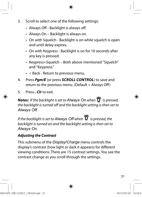- 3. Scroll to select one of the following settings:
	- Always Off Backlight is always off.
	- Always On Backlight is always on.
	- On with Squelch Backlight is on while squelch is open and until delay expires.
	- On with Keypress Backlight is on for 10 seconds after any key is pressed.
	- Keypress+Squelch Both above-mentioned "Squelch" and "Keypress."
	- < Back Return to previous menu.
- 4. Press *Pgm/E* (or press *SCROLL CONTROL*) to save and return to the previous menu. (Default  $=$  Always Off)
- 5. Press *. Clr* to exit.

*Notes:* If the backlight is set to Always On when  $\ddot{Q}$  is pressed, the backlight is turned off and the backlight setting is then set to *Always Off*.

If the backlight is set to Always Off when  $\mathbf{\check{V}}$  is pressed, the backlight is turned on and the backlight setting is then set to *Always On*.

#### *Adjusting the Contrast*

This submenu of the *Display/Charge* menu controls the display's contrast (how light or dark it appears) for different viewing conditions. There are 15 contrast settings. You see the contrast change as you scroll through the settings.

⊕

₩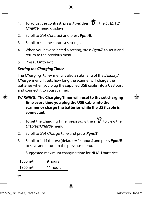- 1. To adjust the contrast, press **Func** then  $\ddot{Q}$  ; the *Display Charge* menu displays
- 2. Scroll to *Set Contrast* and press *Pgm/E*.
- 3. Scroll to see the contrast settings.
- 4. When you have selected a setting, press *Pgm/E* to set it and return to the previous menu.
- 5. Press *. Clr* to exit.

#### *Setting the Charging Timer*

 The *Charging Timer* menu is also a submenu of the *Display/ Charge* menu. It sets how long the scanner will charge the batteries when you plug the supplied USB cable into a USB port and connect it to your scanner.

- *WARNING:* **The Charging Timer will reset to the set charging time every time you plug the USB cable into the scanner or charge the batteries while the USB cable is connected.**
- 1. To set the Charging Timer press **Func** then  $\overleftrightarrow{\bm{0}}'$  to view the *Display/Charge* menu.
- 2. Scroll to *Set ChargeTime* and press *Pgm/E*.
- 3. Scroll to 1-14 (hours) (default = 14 hours) and press *Pgm/E* to save and return to the previous menu.

Suggested maximum charging time for Ni-MH batteries:

⊕

| 1500mAh | 9 hours  |
|---------|----------|
| 1800mAh | 11 hours |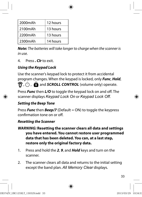

| 2000mAh | 12 hours |
|---------|----------|
| 2100mAh | 13 hours |
| 2200mAh | 13 hours |
| 2300mAh | 14 hours |

*Note:* The batteries will take longer to charge when the scanner is in use.

4. Press *. Clr* to exit.

#### *Using the Keypad Lock*

Use the scanner's keypad lock to protect it from accidental program changes. When the keypad is locked, only *Func*, *Hold*,  $\mathbf{W}$ ,  $(\cdot)$ ,  $\bullet$  and **SCROLL CONTROL** (volume only) operate.

Press **Func** then **L/O** to toggle the keypad lock on and off. The scanner displays *Keypad Lock On* or *Keypad Lock Off*.

#### *Setting the Beep Tone*

Press *Func* then *Beep/7* (Default = ON) to toggle the keypress confirmation tone on or off.

#### *Resetting the Scanner*

- *WARNING:* **Resetting the scanner clears all data and settings you have entered. You cannot restore user programmed data that has been deleted. You can, at a last step, restore only the original factory data.**
- 1. Press and hold the *2*, *9*, and *Hold* keys and turn on the scanner.
- 2. The scanner clears all data and returns to the initial setting except the band plan. *All Memory Clear* displays.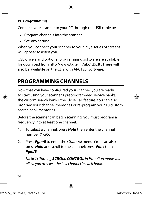#### *PC Programming*

Connect your scanner to your PC through the USB cable to:

- Program channels into the scanner
- Set any setting

When you connect your scanner to your PC, a series of screens will appear to assist you.

USB drivers and optional programming software are available for download from http://www.butel.nl/ubc125xlt . These will also be available on the CD's with ARC125 Software.

## **PROGRAMMING CHANNELS**

Now that you have configured your scanner, you are ready to start using your scanner's preprogrammed service banks, the custom search banks, the Close Call feature. You can also program your channel memories or re-program your 10 custom search bank memories.

Before the scanner can begin scanning, you must program a frequency into at least one channel.

- 1. To select a channel, press *Hold* then enter the channel number (1-500).
- 2. Press *Pgm/E* to enter the *Channel* menu. (You can also press *Hold* and scroll to the channel; press *Func* then *Pgm/E*.)

*Note 1:* Turning *SCROLL CONTROL* in *Function* mode will allow you to select the first channel in each bank.

⊕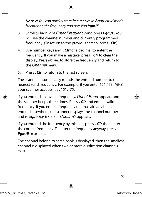*Note 2:* You can quickly store frequencies in *Scan Hold* mode by entering the frequency and pressing *Pgm/E*.

- 3. Scroll to highlight *Enter Frequency* and press *Pgm/E*. You will see the channel number and currently programmed frequency. (To return to the previous screen, press *. Clr*.)
- 4. Use number keys and *. Clr* for a decimal to enter the frequency. If you make a mistake, press *. Clr* to clear the display. Press *Pgm/E* to store the frequency and return to the *Channel* menu.
- 5. Press *. Clr* to return to the last screen.

The scanner automatically rounds the entered number to the nearest valid frequency. For example, if you enter 151.473 (MHz), your scanner accepts it as 151.475.

If you entered an invalid frequency, *Out of Band* appears and the scanner beeps three times. Press *. Clr* and enter a valid frequency. If you enter a frequency that has already been entered elsewhere, the scanner displays the channel number and *Frequency Exists – Confirm?* appears.

If you entered the frequency by mistake, press *. Clr* then enter the correct frequency. To enter the frequency anyway, press *Pgm/E* to accept.

The channel belong to same bank is displayed, then the smallest channel is displayed when two or more duplication channels exist.

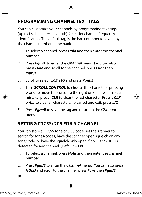## **PROGRAMMING CHANNEL TEXT TAGS**

You can customize your channels by programming text tags (up to 16 characters in length) for easier channel frequency identification. The default tag is the bank number followed by the channel number in the bank.

- 1. To select a channel, press *Hold* and then enter the channel number.
- 2. Press *Pgm/E* to enter the *Channel* menu. (You can also press *Hold* and scroll to the channel; press *Func* then *Pgm/E*.)
- 3. Scroll to select *Edit Tag* and press *Pgm/E*.
- 4. Turn *SCROLL CONTROL* to choose the characters, pressing *>* or *<* to move the cursor to the right or left. If you make a mistake, press *. CLR* to clear the last character. Press *. CLR* twice to clear all characters. To cancel and exit, press *L/O*.
- 5. Press *Pgm/E* to save the tag and return to the *Channel* menu.

## **SETTING CTCSS/DCS FOR A CHANNEL**

You can store a CTCSS tone or DCS code, set the scanner to search for tones/codes, have the scanner open squelch on any tone/code, or have the squelch only open if no CTCSS/DCS is detected for any channel. (Default =  $Off$ )

- 1. To select a channel, press *Hold* and then enter the channel number.
- 2. Press *Pgm/E* to enter the *Channel* menu. (You can also press *HOLD* and scroll to the channel; press *Func* then *Pgm/E*.)

⊕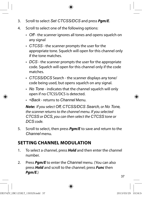- 
- 3. Scroll to select *Set CTCSS/DCS* and press *Pgm/E*.
- 4. Scroll to select one of the following options:
	- Off the scanner ignores all tones and opens squelch on any signal
	- *CTCSS* the scanner prompts the user for the appropriate tone. Squelch will open for this channel only if the tone matches.
	- *DCS* the scanner prompts the user for the appropriate code. Squelch will open for this channel only if the code matches.
	- *CTCSS/DCS* Search the scanner displays any tone/ code being used, but opens squelch on any signal.
	- *No Tone* indicates that the channel squelch will only open if no CTCSS/DCS is detected.
	- *<Back* returns to *Channel* Menu.

*Note:* If you select *Off*, *CTCSS/DCS Search*, or *No Tone*, the scanner returns to the channel menu. If you selected *CTCSS* or *DCS*, you can then select the *CTCSS* tone or *DCS* code.

5. Scroll to select, then press *Pgm/E* to save and return to the *Channel* menu.

# **SETTING CHANNEL MODULATION**

- 1. To select a channel, press *Hold* and then enter the channel number.
- 2. Press *Pgm/E* to enter the *Channel* menu. (You can also press *Hold* and scroll to the channel; press *Func* then *Pgm/E*.)

⊕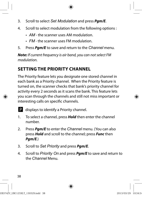- 3. Scroll to select *Set Modulation* and press *Pgm/E*.
- 4. Scroll to select modulation from the following options :
	- *AM* the scanner uses AM modulation.
	- *FM* the scanner uses FM modulation.
- 5. Press *Pgm/E* to save and return to the *Channel* menu.

*Note:* If current frequency is air band, you can not select FM modulation.

# **SETTING THE PRIORITY CHANNEL**

The Priority feature lets you designate one stored channel in each bank as a Priority channel. When the Priority feature is turned on, the scanner checks that bank's priority channel for activity every 2 seconds as it scans the bank. This feature lets you scan through the channels and still not miss important or interesting calls on specific channels.



P displays to identify a Priority channel.

- 1. To select a channel, press *Hold* then enter the channel number.
- 2. Press *Pgm/E* to enter the *Channel* menu. (You can also press *Hold* and scroll to the channel; press *Func* then *Pgm/E*.)
- 3. Scroll to *Set Priority* and press *Pgm/E*.
- 4. Scroll to *Priority On* and press *Pgm/E* to save and return to the *Channel* Menu.

⊕

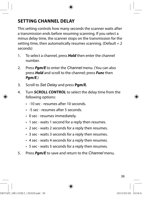

# **SETTING CHANNEL DELAY**

 This setting controls how many seconds the scanner waits after a transmission ends before resuming scanning. If you select a minus delay time, the scanner stops on the transmission for the setting time, then automatically resumes scanning. (Default  $= 2$ ) seconds)

- 1. To select a channel, press *Hold* then enter the channel number.
- 2. Press *Pgm/E* to enter the *Channel* menu. (You can also press *Hold* and scroll to the channel; press *Func* then *Pgm/E*.)
- 3. Scroll to *Set Delay* and press **Pgm/E**.
- 4. Turn *SCROLL CONTROL* to select the delay time from the following options:
	- -10 sec resumes after 10 seconds.
	- -5 sec resumes after 5 seconds.
	- 0 sec resumes immediately.
	- 1 sec waits 1 second for a reply then resumes.
	- 2 sec waits 2 seconds for a reply then resumes.
	- 3 sec waits 3 seconds for a reply then resumes.
	- 4 sec waits 4 seconds for a reply then resumes.
	- 5 sec waits 5 seconds for a reply then resumes.
- 5. Press *Pgm/E* to save and return to the *Channel* menu.

⊕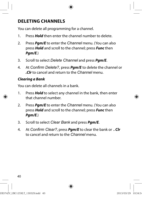# **DELETING CHANNELS**

You can delete all programming for a channel.

- 1. Press *Hold* then enter the channel number to delete.
- 2. Press *Pgm/E* to enter the *Channel* menu. (You can also press *Hold* and scroll to the channel; press *Func* then *Pgm/E*.)
- 3. Scroll to select *Delete Channel* and press *Pgm/E*.
- 4. At *Confirm Delete?*, press *Pam/E* to delete the channel or *.Clr* to cancel and return to the *Channel* menu.

### *Clearing a Bank*

You can delete all channels in a bank.

- 1. Press *Hold* to select any channel in the bank, then enter that channel number.
- 2. Press *Pgm/E* to enter the *Channel* menu. (You can also press *Hold* and scroll to the channel; press *Func* then *Pgm/E*.)
- 3. Scroll to select *Clear Bank* and press *Pgm/E*.
- 4. At *Confirm Clear?*, press **Pgm/E** to clear the bank or . Cir to cancel and return to the *Channel* menu.

⊕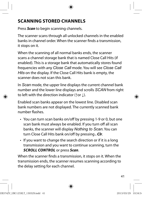# **SCANNING STORED CHANNELS**

Press *Scan* to begin scanning channels.

The scanner scans through all unlocked channels in the enabled banks in channel order. When the scanner finds a transmission, it stops on it.

When the scanning of all normal banks ends, the scanner scans a channel storage bank that is named Close Call Hits (if enabled). This is a storage bank that automatically stores found frequencies with any *Close Call* mode. You will see *Close Call Hits* on the display. If the Close Call Hits bank is empty, the scanner does not scan this bank.

In *Scan* mode, the upper line displays the current channel bank number and the lower line displays and scrolls *SCAN* from right to left with the direction indicator (↑or ↓).

Enabled scan banks appear on the lowest line. Disabled scan bank numbers are not displayed. The currently scanned bank number flashes.

- You can turn scan banks on/off by pressing 1-9 or 0, but one scan bank must always be enabled. If you turn off all scan banks, the scanner will display *Nothing to Scan*. You can turn Close Call Hits bank on/off by pressing *. Clr*.
- If you want to change the search direction or if it is a long transmission and you want to continue scanning, turn the *SCROLL CONTROL* or press *Scan*.

When the scanner finds a transmission, it stops on it. When the transmission ends, the scanner resumes scanning according to the delay setting for each channel.

⊕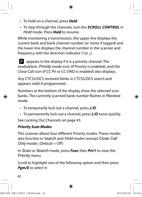- To hold on a channel, press *Hold*.
- To step through the channels, turn the *SCROLL CONTROL* in *Hold* mode. Press *Hold* to resume.

While monitoring a transmission, the upper line displays the current bank and bank channel number (or name if tagged) and the lower line displays the channel number in the scanner and frequency with the direction indicator (↑or ↓).

P appears in the display if it is a priority channel. The modulation, *Priority* mode icon (if Priority is enabled), and the Close Call icon (if CC Pri or CC-DND is enabled) also displays.

Any CTCSS/DCS received blinks in CTCSS/DCS search and appears solid if programmed.

Numbers at the bottom of the display show the selected scan banks. The currently scanned bank number flashes in *Receive* mode.

• To temporarily lock out a channel, press *L/O*.

• To permanently lock out a channel, press *L/O* twice quickly. See Locking Out Channels on page 43.

### *Priority Scan Modes*

This scanner allows four different Priority modes. These modes also function in S*earch* and *Hold* modes (except *Close Call Only* mode). (Default = Off)

In *Scan* or *Search* mode, press *Func* then *Pri/1* to view the *Priority* menu.

Scroll to highlight one of the following option and then press *Pgm/E* to select it:

⊕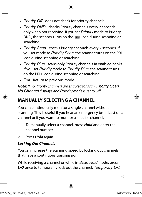- *Priority Off* does not check for priority channels.
- *Priority DND* checks Priority channels every 2 seconds only when not receiving. If you set *Priority* mode to Priority DND, the scanner turns on the **PRI** icon during scanning or searching.
- *Priority Scan* checks Priority channels every 2 seconds. If you set mode to *Priority Scan*, the scanner turns on the PRI icon during scanning or searching.
- *Priority Plus* scans only Priority channels in enabled banks. If you set *Priority* mode to *Priority Plus*, the scanner turns on the PRI+ icon during scanning or searching.
- *Exit* Return to previous mode.

*Note:* If no Priority channels are enabled for scan, *Priority Scan No Channel* displays and *Priority* mode is set to Off .

# **MANUALLY SELECTING A CHANNEL**

You can continuously monitor a single channel without scanning. This is useful if you hear an emergency broadcast on a channel or if you want to monitor a specific channel.

- 1. To manually select a channel, press *Hold* and enter the channel number.
- 2. Press *Hold* again.

### *Locking Out Channels*

 You can increase the scanning speed by locking out channels that have a continuous transmission.

While receiving a channel or while in *Scan Hold* mode, press *L/O* once to temporarily lock out the channel. *Temporary L/O* 4

⊕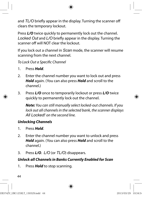and *TL/O* briefly appear in the display. Turning the scanner off clears the temporary lockout.

Press *L/O* twice quickly to permanently lock out the channel. Locked Out and L/O briefly appear in the display. Turning the scanner off will NOT clear the lockout.

If you lock out a channel in *Scan* mode, the scanner will resume scanning from the next channel.

To Lock Out a Specific Channel

- 1. Press *Hold*.
- 2. Enter the channel number you want to lock out and press *Hold* again. (You can also press *Hold* and scroll to the channel.)
- 3. Press *L/O* once to temporarily lockout or press *L/O* twice quickly to permanently lock out the channel.

*Note:* You can still manually select locked-out channels. If you lock out all channels in the selected bank, the scanner displays *All Locked!* on the second line.

### *Unlocking Channels*

- 1. Press *Hold*.
- 2. Enter the channel number you want to unlock and press *Hold* again. (You can also press *Hold* and scroll to the channel.)
- 3. Press *L/O*. *L/O* (or *TL/O*) disappears.

### *Unlock all Channels in Banks Currently Enabled for Scan*

⊕

1. Press *Hold* to stop scanning.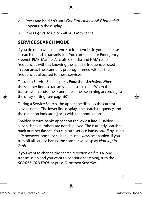- 2. Press and hold **L/O** until *Confirm Unlock All Channels?* appears in the display.
- 3. Press *Pgm/E* to unlock all or *. Clr* to cancel.

# **SERVICE SEARCH MODE**

If you do not have a reference to frequencies in your area, use a search to find a transmission. You can search for Emergency, Freenet, PMR, Marine, Aircraft, CB radio and HAM radio frequencies without knowing the specific frequencies used in your area. The scanner is preprogrammed with all the frequencies allocated to these services.

To start a Service Search, press *Func* then *Srch/Svc.* When the scanner finds a transmission, it stops on it. When the transmission ends, the scanner resumes searching according to the delay setting (see page 50).

During a Service Search, the upper line displays the current service name. The lower line displays the search frequency and the direction indicator (↑or ↓) with the modulation.

Enabled service banks appear on the lowest line. Disabled service bank numbers are not displayed. The currently searched bank number flashes. You can turn service banks on/off by using 1-7; however, one service bank must always be enabled. If you turn off all service banks, the scanner will display *Nothing to Srch*.

If you want to change the search direction or if it is a long transmission and you want to continue searching, turn the *SCROLL CONTROL* or press *Func* then *Srch/Svc*.

⊕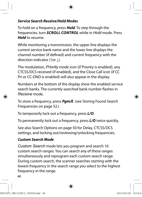### *Service Search Receive/Hold Modes*

To hold on a frequency, press *Hold*. To step through the frequencies, turn *SCROLL CONTROL* while in *Hold* mode. Press *Hold* to resume.

While monitoring a transmission, the upper line displays the current service bank name and the lower line displays the channel number (if defined) and current frequency with the direction indicator (↑or ↓).

The modulation, *Priority* mode icon (if Priority is enabled), any CTCSS/DCS received (if enabled), and the Close Call icon (if CC Pri or CC-DND is enabled) will also appear in the display.

Numbers at the bottom of the display show the enabled service search banks. The currently searched bank number flashes in *Receive* mode.

To store a frequency, press *Pgm/E*. (see Storing Found Search Frequencies on page 52.)

To temporarily lock out a frequency, press *L/O*.

To permanently lock out a frequency, press *L/O* twice quickly.

See also Search Options on page 50 for Delay, CTCSS/DCS settings, and locking out/reviewing/unlocking frequencies.

### *Custom Search Mode*

46 *Custom Search* mode lets you program and search 10 custom search ranges. You can search any of these ranges simultaneously and reprogram each custom search range. During custom search, the scanner searches starting with the lowest frequency in the search range you select to the highest frequency in the range.

⊕

′€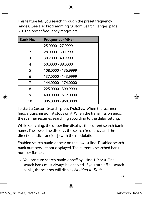This feature lets you search through the preset frequency ranges. (See also Programming Custom Search Ranges, page 51). The preset frequency ranges are:

| <b>Bank No.</b> | <b>Frequency (MHz)</b> |
|-----------------|------------------------|
|                 | 25.0000 - 27.9999      |
| $\mathcal{P}$   | 28.0000 - 30.1999      |
| 3               | 30.2000 - 49.9999      |
| 4               | 50.0000 - 88.0000      |
| 5               | 108.0000 - 136.9999    |
| 6               | 137.0000 - 143.9999    |
| 7               | 144.0000 - 174.0000    |
| 8               | 225.0000 - 399.9999    |
| g               | 400.0000 - 512.0000    |
| 10              | 806.0000 - 960.0000    |

To start a Custom Search, press *Srch/Svc*. When the scanner finds a transmission, it stops on it. When the transmission ends, the scanner resumes searching according to the delay setting.

While searching, the upper line displays the current search bank name. The lower line displays the search frequency and the direction indicator (↑or ↓) with the modulation.

Enabled search banks appear on the lowest line. Disabled search bank numbers are not displayed. The currently searched bank number flashes.

• You can turn search banks on/off by using 1-9 or 0. One search bank must always be enabled. If you turn off all search banks, the scanner will display *Nothing to Srch*.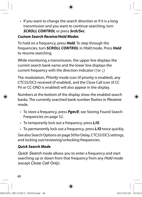• If you want to change the search direction or if it is a long transmission and you want to continue searching, turn *SCROLL CONTROL* or press *Srch/Svc*.

### *Custom Search Receive/Hold Modes*

To hold on a frequency, press *Hold*. To step through the frequencies, turn *SCROLL CONTROL* in *Hold* mode. Press *Hold* to resume searching.

While monitoring a transmission, the upper line displays the current search bank name and the lower line displays the current frequency with the direction indicator (↑or ↓)

The modulation, *Priority* mode icon (if priority is enabled), any CTCSS/DCS received (if enabled), and the Close Call icon (if CC Pri or CC-DND is enabled) will also appear in the display.

Numbers at the bottom of the display show the enabled search banks. The currently searched bank number flashes in *Receive* mode.

- To store a frequency, press *Pgm/E*; see Storing Found Search Frequencies on page 52.
- To temporarily lock out a frequency, press *L/O*.
- To permanently lock out a frequency, press *L/O* twice quickly.

See also Search Options on page 50 for Delay, CTCSS/DCS settings, and locking out/reviewing/unlocking frequencies.

### *Quick Search Mode*

*Quick Search* mode allows you to enter a frequency and start searching up or down from that frequency from any *Hold* mode (except *Close Call Only*).

⊕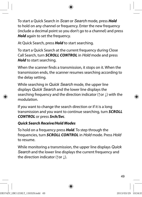To start a Quick Search in *Scan* or *Search* mode, press *Hold* to hold on any channel or frequency. Enter the new frequency (include a decimal point so you don't go to a channel) and press *Hold* again to set the frequency.

At Quick Search, press *Hold* to start searching.

To start a Quick Search at the current frequency during Close Call Search, turn *SCROLL CONTROL* in *Hold* mode and press *Hold* to start searching.

When the scanner finds a transmission, it stops on it. When the transmission ends, the scanner resumes searching according to the delay setting.

While searching in *Quick Search* mode, the upper line displays *Quick Search* and the lower line displays the searching frequency and the direction indicator (↑or ↓) with the modulation.

If you want to change the search direction or if it is a long transmission and you want to continue searching, turn *SCROLL CONTROL* or press *Srch/Svc*.

### *Quick Search Receive/Hold Modes*

To hold on a frequency press *Hold*. To step through the frequencies, turn *SCROLL CONTROL* in *Hold* mode. Press *Hold* to resume.

While monitoring a transmission, the upper line displays *Quick Search* and the lower line displays the current frequency and the direction indicator (↑or ↓).

⊕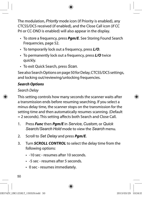The modulation, *Priority* mode icon (if Priority is enabled), any CTCSS/DCS received (if enabled), and the Close Call icon (if CC Pri or CC-DND is enabled) will also appear in the display.

- To store a frequency, press *Pgm/E*. See Storing Found Search Frequencies, page 52.
- To temporarily lock out a frequency, press *L/O*.
- To permanently lock out a frequency, press *L/O* twice quickly.
- To exit Quick Search, press *Scan*.

See also Search Options on page 50 for Delay, CTCSS/DCS settings, and locking out/reviewing/unlocking frequencies.

### *Search Options*

### Search Delay

This setting controls how many seconds the scanner waits after a transmission ends before resuming searching. If you select a minus delay time, the scanner stops on the transmission for the setting time and then automatically resumes scanning. (Default = 2 seconds). This setting aff ects both Search and Close Call.

- 1. Press *Func* then *Pgm/E* in *Service*, *Custom*, or *Quick Search*/*Search Hold* mode to view the *Search* menu.
- 2. Scroll to *Set Delay* and press *Pgm/E*.
- 3. Turn *SCROLL CONTROL* to select the delay time from the following options:

⊕

- -10 sec resumes after 10 seconds.
- -5 sec resumes after 5 seconds.
- 0 sec resumes immediately.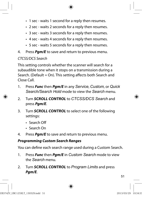- 1 sec waits 1 second for a reply then resumes.
- 2 sec waits 2 seconds for a reply then resumes.
- 3 sec waits 3 seconds for a reply then resumes.
- 4 sec waits 4 seconds for a reply then resumes.
- 5 sec waits 5 seconds for a reply then resumes.
- 4. Press *Pgm/E* to save and return to previous menu.

### CTCSS/DCS Search

This setting controls whether the scanner will search for a subaudible tone when it stops on a transmission during a Search. (Default  $=$  On). This setting affects both Search and Close Call.

- 1. Press *Func* then *Pgm/E* in any *Service*, *Custom*, or *Quick Search/Search Hold* mode to view the *Search* menu.
- 2. Turn *SCROLL CONTROL* to *CTCSS/DCS Search* and press *Pgm/E*.
- 3. Turn *SCROLL CONTROL* to select one of the following settings:
	- Search Off
	- Search On
- 4. Press *Pgm/E* to save and return to previous menu.

### *Programming Custom Search Ranges*

You can define each search range used during a Custom Search.

- 1. Press *Func* then *Pgm/E* in *Custom Search* mode to view the *Search* menu.
- 2. Turn *SCROLL CONTROL* to *Program Limits* and press *Pgm/E*.

⊕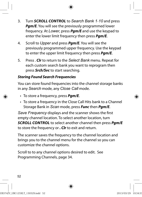- 3. Turn *SCROLL CONTROL* to *Search Bank 1-10* and press *Pgm/E*. You will see the previously programmed lower frequency. At *Lower*, press *Pgm/E* and use the keypad to enter the lower limit frequency then press *Pgm/E*.
- 4. Scroll to *Upper* and press *Pgm/E*. You will see the previously programmed upper frequency. Use the keypad to enter the upper limit frequency then press *Pgm/E*.
- 5. Press . *Clr* to return to the *Select Bank* menu. Repeat for each custom search bank you want to reprogram then press *Srch/Svc* to start searching.

### *Storing Found Search Frequencies*

 You can store found frequencies into the channel storage banks in any *Search* mode, any *Close Call* mode.

- To store a frequency, press *Pgm/E*.
- To store a frequency in the Close Call Hits bank to a Channel Storage Bank in *Scan* mode, press *Func* then *Pgm/E*.

*Save Frequency* displays and the scanner shows the first empty channel location. To select another location, turn *SCROLL CONTROL* to select another channel then press *Pgm/E* to store the frequency or *. Clr* to exit and return.

The scanner saves the frequency to the channel location and brings you to the channel menu for the channel so you can customize the channel options.

⊕

Scroll to to any channel options desired to edit. See Programming Channels, page 34.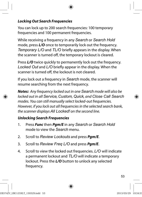### *Locking Out Search Frequencies*

You can lock up to 200 search frequencies: 100 temporary frequencies and 100 permanent frequencies.

While receiving a frequency in any *Search* or *Search Hold* mode, press *L/O* once to temporarily lock out the frequency. *Temporary L/O* and *TL/O* briefly appears in the display. When the scanner is turned off, the temporary lockout is cleared.

Press *L/O* twice quickly to permanently lock out the frequency. Locked Out and L/O briefly appear in the display. When the scanner is turned off, the lockout is not cleared.

If you lock out a frequency in *Search* mode, the scanner will resume searching from the next frequency.

*Notes:* Any frequency locked out in one *Search* mode will also be locked out in all *Service*, *Custom*, *Quick*, and *Close Call Search* modes. You can still manually select locked-out frequencies. However, if you lock out all frequencies in the selected search bank, the scanner displays *All Locked!* on the second line.

### *Unlocking Search Frequencies*

- 1. Press *Func* then *Pgm/E* in any *Search* or *Search Hold* mode to view the *Search* menu.
- 2. Scroll to *Review Lockouts* and press *Pgm/E*.
- 3. Scroll to *Review Freq L/O* and press *Pgm/E*.
- 4. Scroll to view the locked out frequencies. *L/O* will indicate a permanent lockout and *TL/O* will indicate a temporary lockout. Press the *L/O* button to unlock any selected frequency.

⊕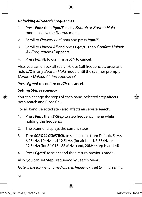### *Unlocking all Search Frequencies*

- 1. Press *Func* then *Pgm/E* in any *Search* or *Search Hold* mode to view the *Search* menu.
- 2. Scroll to *Review Lockouts* and press *Pgm/E*.
- 3. Scroll to *Unlock All* and press **Pgm/E**. Then *Confirm Unlock All Frequencies?* appears.
- 4. Press **Pgm/E** to confirm or *.Clr* to cancel.

Also, you can unlock all search/Close Call frequencies, press and hold *L/O* in any *Search Hold* mode until the scanner prompts **Confirm Unlock All Frequencies?.** 

Press *Pgm/E* to confirm or *.Clr* to cancel.

### *Setting Step Frequency*

You can change the steps of each band. Selected step affects both search and Close Call.

For air band, selected step also affects air service search.

- 1. Press *Func* then *3/Step* to step frequency menu while holding the frequency.
- 2. The scanner displays the current steps.
- 3. Turn *SCROLL CONTROL* to select steps from Default, 5kHz, 6.25kHz, 10kHz and 12.5kHz. (for air band, 8.33kHz or 12.5kHz) (for 84.015 - 88 MHz band, 20kHz step is added)
- 4. Press *Pgm/E* to select and then return previous mode.

Also, you can set Step Frequency by Search Menu.

**Note:** If the scanner is turned off, step frequency is set to initial setting.

⊕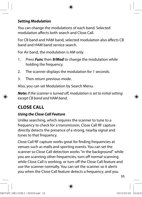### *Setting Modulation*

You can change the modulations of each band. Selected modulation affects both search and Close Call.

For CB band and HAM band, selected modulation also affects CB band and HAM band service search.

For Air band, the modulation is AM only.

- 1. Press *Func* then *9/Mod* to change the modulation while holding the frequency.
- 2. The scanner displays the modulation for 1 seconds.
- 3. Then return previous mode.

Also, you can set Modulation by Search Menu.

**Note:** If the scanner is turned off, modulation is set to initial setting except CB band and HAM band.

# **CLOSE CALL**

### *Using the Close Call Feature*

Unlike searching, which requires the scanner to tune to a frequency to check for a transmission, Close Call RF capture directly detects the presence of a strong, nearby signal and tunes to that frequency.

Close Call RF capture works great for finding frequencies at venues such as malls and sporting events. You can set the scanner so Close Call detection works "in the background" while you are scanning other frequencies, turn off normal scanning while Close Call is working, or turn off the Close Call feature and use the scanner normally. You can set the scanner so it alerts you when the Close Call feature detects a frequency. and you

⊕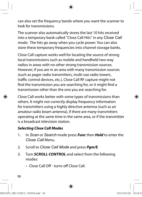can also set the frequency bands where you want the scanner to look for transmissions.

The scanner also automatically stores the last 10 hits received into a temporary bank called "Close Call Hits" in any *Close Call* mode. The hits go away when you cycle power. You can also store these temporary frequencies into channel storage banks.

Close Call capture works well for locating the source of strong local transmissions such as mobile and handheld two-way radios in areas with no other strong transmission sources. However, if you are in an area with many transmission sources (such as pager radio transmitters, multi-use radio towers, traffic control devices, etc.), Close Call RF capture might not find the transmission you are searching for, or it might find a transmission other than the one you are searching for.

Close Call works better with some types of transmissions than others. It might not correctly display frequency information for transmitters using a highly directive antenna (such as an amateur radio beam antenna), if there are many transmitters operating at the same time in the same area, or if the transmitter is a broadcast television station.

### *Selecting Close Call Modes*

1. In *Scan* or *Search* mode press *Func* then *Hold* to enter the *Close Call* Menu.

⊕

- 2. Scroll to *Close Call Mode* and press *Pgm/E*.
- 3. Turn *SCROLL CONTROL* and select from the following modes:
	- Close Call Off turns off Close Call.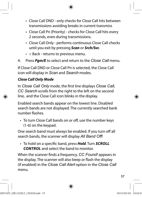- Close Call DND only checks for Close Call hits between transmissions avoiding breaks in current transmiss
- Close Call Pri (Priority) checks for Close Call hits every 2 seconds, even during transmissions.
- Close Call Only performs continuous Close Call checks until you exit by pressing *Scan* or *Srch/Svc*.
- < Back returns to previous menu.
- 4. Press *Pgm/E* to select and return to the *Close Call* menu.

If Close Call DND or Close Call Pri is selected, the Close Call icon will display in *Scan* and *Search* modes.

### *Close Call Only Mode*

In *Close Call Only* mode, the first line displays *Close Call*, *CC Search* scrolls from the right to the left on the second line, and the Close Call icon blinks in the display.

Enabled search bands appear on the lowest line. Disabled search bands are not displayed. The currently searched bank number flashes.

• To turn Close Call bands on or off, use the number keys (1-6) on the keypad.

One search band must always be enabled. If you turn off all search bands, the scanner will display *All Band Off*!

• To hold on a specific band, press **Hold**. Turn **SCROLL** *CONTROL* and select the band to monitor.

When the scanner finds a frequency, *CC Found!* appears in the display. The scanner will also beep or flash the display (if enabled) in the *Close Call Alert* option in the *Close Call* menu.

⊕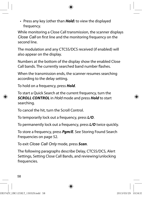• Press any key (other than *Hold*) to view the displayed frequency.

While monitoring a Close Call transmission, the scanner displays *Close Call* on first line and the monitoring frequency on the second line.

The modulation and any CTCSS/DCS received (if enabled) will also appear on the display.

Numbers at the bottom of the display show the enabled Close Call bands. The currently searched band number flashes.

When the transmission ends, the scanner resumes searching according to the delay setting.

To hold on a frequency, press *Hold*.

To start a Quick Search at the current frequency, turn the *SCROLL CONTROL* in *Hold* mode and press *Hold* to start searching.

To cancel the hit, turn the Scroll Control.

To temporarily lock out a frequency, press *L/O*.

To permanently lock out a frequency, press *L/O* twice quickly.

To store a frequency, press *Pgm/E*. See Storing Found Search Frequencies on page 52.

To exit *Close Call Only* mode, press *Scan*.

The following paragraphs describe Delay, CTCSS/DCS, Alert Settings, Setting Close Call Bands, and reviewing/unlocking frequencies.

⊕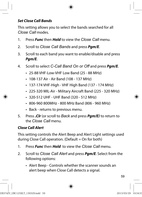### *Set Close Call Bands*

This setting allows you to select the bands searched for all *Close Call* modes.

- 1. Press *Func* then *Hold* to view the *Close Call* menu.
- 2. Scroll to *Close Call Bands* and press *Pgm/E*.
- 3. Scroll to each band you want to enable/disable and press *Pgm/E*.
- 4. Scroll to select *C-Call Band On or Off* and press *Pgm/E*.
	- 25-88 VHF-Low-VHF Low Band (25 88 MHz)
	- 108-137 Air Air Band (108 137 MHz)
	- 137-174 VHF-High VHF High Band (137 174 MHz)
	- 225-320 MIL-Air Military Aircraft Band (225 320 MHz)
	- 320-512 UHF UHF Band (320 512 MHz)
	- 806-960 800MHz 800 MHz Band (806 960 MHz)
	- Back returns to previous menu.
- 5. Press *.Clr* (or scroll to *Back* and press *Pgm/E)* to return to the *Close Call* menu.

### *Close Call Alert*

This setting controls the Alert Beep and Alert Light settings used during Close Call operation. (Default  $=$  On for both)

- 1. Press *Func* then *Hold* to view the *Close Call* menu.
- 2. Scroll to *Close Call Alert* and press *Pgm/E*. Select from the following options:
	- Alert Beep Controls whether the scanner sounds an alert beep when Close Call detects a signal.

⊕

59

′€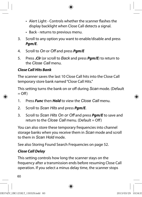- Alert Light Controls whether the scanner flashes the display backlight when Close Call detects a signal.
- Back returns to previous menu.
- 3. Scroll to any option you want to enable/disable and press *Pgm/E*.
- 4. Scroll to *On* or *Off* and press *Pgm/E*
- 5. Press *.Clr* (or scroll to *Back* and press *Pgm/E*) to return to the *Close Call* menu.

### *Close Call Hits Bank*

The scanner saves the last 10 Close Call hits into the Close Call temporary store bank named "Close Call Hits."

This setting turns the bank on or off during *Scan* mode. (Default  $=$  Off  $)$ 

- 1. Press *Func* then *Hold* to view the *Close Call* menu.
- 2. Scroll to *Scan Hits* and press *Pgm/E*.
- 3. Scroll to *Scan Hits On or Off* and press *Pgm/E* to save and return to the *Close Call* menu. (Default = Off)

You can also store these temporary frequencies into channel storage banks when you receive them in *Scan* mode and scroll to them in *Scan Hold* mode.

See also Storing Found Search Frequencies on page 52.

### *Close Call Delay*

This setting controls how long the scanner stays on the frequency after a transmission ends before resuming Close Call operation. If you select a minus delay time, the scanner stops

⊕

60

₩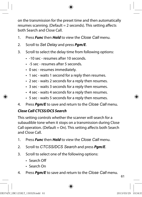on the transmission for the preset time and then automatically resumes scanning. (Default  $= 2$  seconds). This setting affects both Search and Close Call.

- 1. Press *Func* then *Hold* to view the *Close Call* menu.
- 2. Scroll to *Set Delay* and press *Pgm/E*.
- 3. Scroll to select the delay time from following options:
	- -10 sec resumes after 10 seconds.
	- -5 sec resumes after 5 seconds.
	- 0 sec resumes immediately.
	- 1 sec waits 1 second for a reply then resumes.
	- 2 sec waits 2 seconds for a reply then resumes.
	- 3 sec waits 3 seconds for a reply then resumes.
	- 4 sec waits 4 seconds for a reply then resumes.
	- 5 sec waits 5 seconds for a reply then resumes.
- 4. Press *Pgm/E* to save and return to the *Close Call* menu.

### *Close Call CTCSS/DCS Search*

This setting controls whether the scanner will search for a subaudible tone when it stops on a transmission during Close Call operation. (Default = On). This setting affects both Search and Close Call.

- 1. Press *Func* then *Hold* to view the *Close Call* menu.
- 2. Scroll to *CTCSS/DCS Search* and press *Pgm/E*.
- 3. Scroll to select one of the following options:
	- Search Off
	- Search On
- 4. Press *Pgm/E* to save and return to the *Close Call* menu.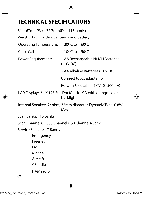# ◈

# **TECHNICAL SPECIFICATIONS**

| Size: 67mm(W) x 32.7mm(D) x 115mm(H)           |                                                                           |  |  |  |
|------------------------------------------------|---------------------------------------------------------------------------|--|--|--|
| Weight: 175g (without antenna and battery)     |                                                                           |  |  |  |
| Operating Temperature: $-20$ °C to +60°C       |                                                                           |  |  |  |
| Close Call                                     | $-10$ ° C to + 50°C                                                       |  |  |  |
| Power Requirements:                            | 2 AA Rechargeable Ni-MH Batteries<br>(2.4VDC)                             |  |  |  |
|                                                | 2 AA Alkaline Batteries (3.0V DC)                                         |  |  |  |
|                                                | Connect to AC adapter or                                                  |  |  |  |
|                                                | PC with USB cable (5.0V DC 500mA)                                         |  |  |  |
|                                                | LCD Display: 64 X 128 Full Dot Matrix LCD with orange-color<br>backlight. |  |  |  |
|                                                | Internal Speaker: 24ohm, 32mm diameter, Dynamic Type, 0.8W<br>Max.        |  |  |  |
| Scan Banks: 10 banks                           |                                                                           |  |  |  |
| Scan Channels: 500 Channels (50 Channels/Bank) |                                                                           |  |  |  |
| Service Searches: 7 Bands                      |                                                                           |  |  |  |
| Emergency                                      |                                                                           |  |  |  |
| Freenet                                        |                                                                           |  |  |  |
| <b>PMR</b>                                     |                                                                           |  |  |  |
| Marine                                         |                                                                           |  |  |  |
| Aircraft                                       |                                                                           |  |  |  |
| CB radio                                       |                                                                           |  |  |  |
| <b>HAM</b> radio                               |                                                                           |  |  |  |
| 62                                             |                                                                           |  |  |  |

 $\bigoplus$ 

UB374ZV\_UBC125XLT\_130329.indd 62 B374ZV\_UBC125XLT\_130329.indd 2013/03/29 10:34:5 013/03/29 10:34:55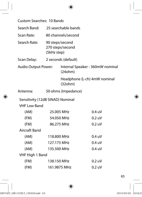| Custom Searches: 10 Bands        |  |                                                    |                                  |  |  |
|----------------------------------|--|----------------------------------------------------|----------------------------------|--|--|
| Search Band:                     |  | 25 searchable bands                                |                                  |  |  |
| Scan Rate:                       |  | 80 channels/second                                 |                                  |  |  |
| Search Rate:                     |  | 90 steps/second<br>270 steps/second<br>(5kHz step) |                                  |  |  |
| Scan Delay:                      |  | 2 seconds (default)                                |                                  |  |  |
| Audio Output Power:              |  | (24ohm)                                            | Internal Speaker - 360mW nominal |  |  |
|                                  |  | (32ohm)                                            | Headphone (L-ch) 4mW nominal     |  |  |
| Antenna:                         |  | 50 ohms (Impedance)                                |                                  |  |  |
| Sensitivity (12dB SINAD) Nominal |  |                                                    |                                  |  |  |
|                                  |  |                                                    |                                  |  |  |
| VHF Low Band                     |  |                                                    |                                  |  |  |
| (AM)                             |  | 25.005 MHz                                         | 0.4 uV                           |  |  |
| (FM)                             |  | 54.050 MHz                                         | 0.2 uV                           |  |  |
| (FM)                             |  | 86.275 MHz                                         | 0.2 uV                           |  |  |
| <b>Aircraft Band</b>             |  |                                                    |                                  |  |  |
| (AM)                             |  | 118,800 MHz                                        | 0.4 uV                           |  |  |
| (AM)                             |  | 127.175 MHz                                        | $0.4$ uV                         |  |  |
| (AM)                             |  | 135,500 MHz                                        | 0.4 uV                           |  |  |
| VHF High 1 Band                  |  |                                                    |                                  |  |  |
| (FM)                             |  | 138.150 MHz                                        | $0.2$ uV                         |  |  |
| (FM)                             |  | 161.9875 MHz                                       | 0.2 uV                           |  |  |

 $\bigoplus$ 

63

 $\overline{\phantom{a}}$ 

 $\bigcirc$ 

 $\bigoplus$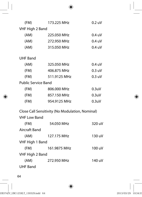| (FM)                                            | 173.225 MHz  | $0.2$ uV         |  |  |
|-------------------------------------------------|--------------|------------------|--|--|
| VHF High 2 Band                                 |              |                  |  |  |
| (AM)                                            | 225.050 MHz  | $0.4$ uV         |  |  |
| (AM)                                            | 272.950 MHz  | $0.4$ uV         |  |  |
| (AM)                                            | 315.050 MHz  | $0.4$ uV         |  |  |
| <b>UHF Band</b>                                 |              |                  |  |  |
| (AM)                                            | 325.050 MHz  | $0.4$ uV         |  |  |
| (FM)                                            | 406.875 MHz  | $0.3$ uV         |  |  |
| (FM)                                            | 511.9125 MHz | 0.3 uV           |  |  |
| <b>Public Service Band</b>                      |              |                  |  |  |
| (FM)                                            | 806,000 MHz  | 0.3 <sub>u</sub> |  |  |
| (FM)                                            | 857.150 MHz  | 0.3 <sub>u</sub> |  |  |
| (FM)                                            | 954.9125 MHz | 0.3 <sub>u</sub> |  |  |
| Close Call Sensitivity (No Modulation, Nominal) |              |                  |  |  |
| <b>VHF Low Band</b>                             |              |                  |  |  |
| (FM)                                            | 54.050 MHz   | 320 uV           |  |  |
| Aircraft Band                                   |              |                  |  |  |
| (AM)                                            | 127.175 MHz  | 130 uV           |  |  |
| VHF High 1 Band                                 |              |                  |  |  |
| (FM)                                            | 161.9875 MHz | 100 uV           |  |  |
| VHE High 2 Rand                                 |              |                  |  |  |

 $\bigoplus$ 

VHF High 2 Band (AM) 272.950 MHz 140 uV UHF Band

 $\bigoplus$ 

64

€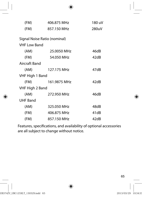| (FM)            | 406.875 MHz                  | 180 uV |
|-----------------|------------------------------|--------|
| (FM)            | 857.150 MHz                  | 280uV  |
|                 |                              |        |
|                 | Signal Noise Ratio (nominal) |        |
| VHF Low Band    |                              |        |
| (AM)            | 25.0050 MHz                  | 46dB   |
| (FM)            | 54.050 MHz                   | 42dB   |
| Aircraft Band   |                              |        |
| (AM)            | 127.175 MHz                  | 47dB   |
| VHF High 1 Band |                              |        |
| (FM)            | 161.9875 MHz                 | 42dB   |
| VHF High 2 Band |                              |        |
| (AM)            | 272.950 MHz                  | 46dB   |
| UHF Band        |                              |        |
| (AM)            | 325,050 MHz                  | 48dB   |
| (FM)            | 406.875 MHz                  | 41dB   |
| (FM)            | 857.150 MHz                  | 42dB   |

Features, specifications, and availability of optional accessories are all subject to change without notice.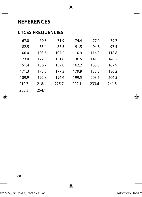# **REFERENCES**

# **CTCSS FREQUENCIES**

| 67.0  | 69.3  | 71.9  | 74.4  | 77.0  | 79.7  |
|-------|-------|-------|-------|-------|-------|
| 82.5  | 85.4  | 88.5  | 91.5  | 94.8  | 97.4  |
| 100.0 | 103.5 | 107.2 | 110.9 | 114.8 | 118.8 |
| 123.0 | 127.3 | 131.8 | 136.5 | 141.3 | 146.2 |
| 151.4 | 156.7 | 159.8 | 162.2 | 165.5 | 167.9 |
| 171.3 | 173.8 | 177.3 | 179.9 | 183.5 | 186.2 |
| 189.9 | 192.8 | 196.6 | 199.5 | 203.5 | 206.5 |
| 210.7 | 218.1 | 225.7 | 229.1 | 233.6 | 241.8 |
| 250.3 | 254.1 |       |       |       |       |

⊕

◈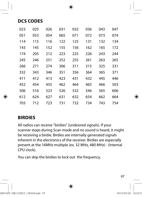## **DCS CODES**

| 023 | 025 | 026 | 031 | 032 | 036 | 043 | 047 |
|-----|-----|-----|-----|-----|-----|-----|-----|
| 051 | 053 | 054 | 065 | 071 | 072 | 073 | 074 |
| 114 | 115 | 116 | 122 | 125 | 131 | 132 | 134 |
| 143 | 145 | 152 | 155 | 156 | 162 | 165 | 172 |
| 174 | 205 | 212 | 223 | 225 | 226 | 243 | 244 |
| 245 | 246 | 251 | 252 | 255 | 261 | 263 | 265 |
| 266 | 271 | 274 | 306 | 311 | 315 | 325 | 331 |
| 332 | 343 | 346 | 351 | 356 | 364 | 365 | 371 |
| 411 | 412 | 413 | 423 | 431 | 432 | 445 | 446 |
| 452 | 454 | 455 | 462 | 464 | 465 | 466 | 503 |
| 506 | 516 | 523 | 526 | 532 | 546 | 565 | 606 |
| 612 | 624 | 627 | 631 | 632 | 654 | 662 | 664 |
| 703 | 712 | 723 | 731 | 732 | 734 | 743 | 754 |

### **BIRDIES**

All radios can receive "birdies" (undesired signals). If your scanner stops during Scan mode and no sound is heard, it might be receiving a birdie. Birdies are internally generated signals inherent in the electronics of the receiver. Birdies are especially present at the 16MHz multiple (ex. 32 MHz, 480 MHz) - (Internal CPU clock).

⊕

You can skip the birdies to lock out the frequency.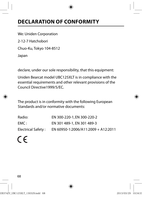

# **DECLARATION OF CONFORMITY**

We: Uniden Corporation 2-12-7 Hatchobori Chuo-Ku, Tokyo 104-8512 Japan

declare, under our sole responsibility, that this equipment:

Uniden Bearcat model UBC125XLT is in compliance with the essential requirements and other relevant provisions of the Council Directive1999/5/EC.

The product is in conformity with the following European Standards and/or normative documents:

| Radio:             | EN 300-220-1, EN 300-220-2          |
|--------------------|-------------------------------------|
| EMC :              | EN 301 489-1, EN 301 489-3          |
| Electrical Safety: | EN 60950-1:2006/A11:2009 + A12:2011 |

⊕

 $\epsilon$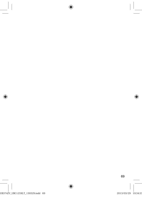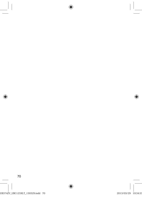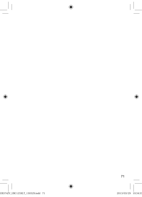